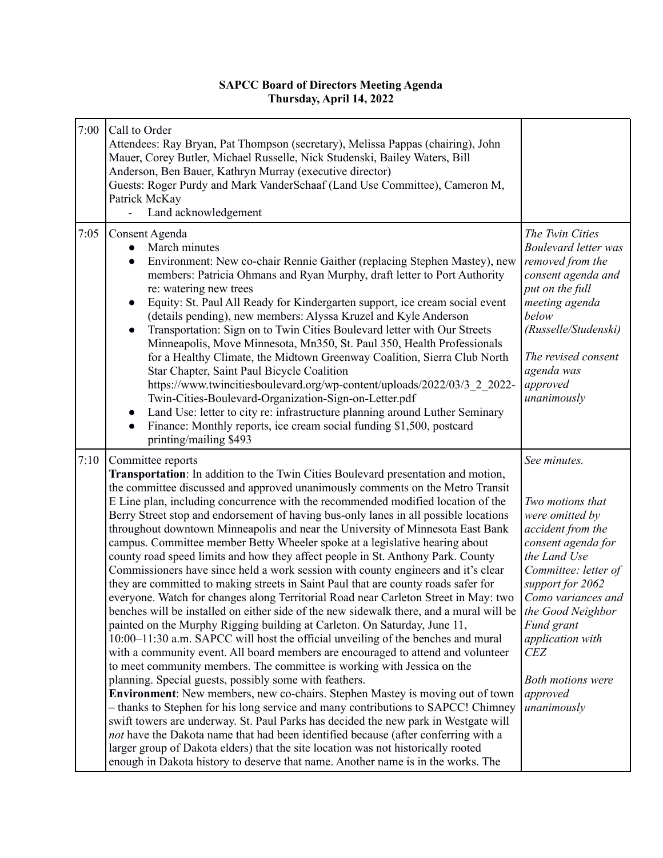## **SAPCC Board of Directors Meeting Agenda Thursday, April 14, 2022**

| 7:00 | Call to Order<br>Attendees: Ray Bryan, Pat Thompson (secretary), Melissa Pappas (chairing), John<br>Mauer, Corey Butler, Michael Russelle, Nick Studenski, Bailey Waters, Bill<br>Anderson, Ben Bauer, Kathryn Murray (executive director)<br>Guests: Roger Purdy and Mark VanderSchaaf (Land Use Committee), Cameron M,<br>Patrick McKay<br>Land acknowledgement                                                                                                                                                                                                                                                                                                                                                                                                                                                                                                                                                                                                                                                                                                                                                                                                                                                                                                                                                                                                                                                                                                                                                                                                                                                                                                                                                                                                                                                                                                                                                  |                                                                                                                                                                                                                                                                                                              |
|------|--------------------------------------------------------------------------------------------------------------------------------------------------------------------------------------------------------------------------------------------------------------------------------------------------------------------------------------------------------------------------------------------------------------------------------------------------------------------------------------------------------------------------------------------------------------------------------------------------------------------------------------------------------------------------------------------------------------------------------------------------------------------------------------------------------------------------------------------------------------------------------------------------------------------------------------------------------------------------------------------------------------------------------------------------------------------------------------------------------------------------------------------------------------------------------------------------------------------------------------------------------------------------------------------------------------------------------------------------------------------------------------------------------------------------------------------------------------------------------------------------------------------------------------------------------------------------------------------------------------------------------------------------------------------------------------------------------------------------------------------------------------------------------------------------------------------------------------------------------------------------------------------------------------------|--------------------------------------------------------------------------------------------------------------------------------------------------------------------------------------------------------------------------------------------------------------------------------------------------------------|
| 7:05 | Consent Agenda<br>March minutes<br>Environment: New co-chair Rennie Gaither (replacing Stephen Mastey), new<br>members: Patricia Ohmans and Ryan Murphy, draft letter to Port Authority<br>re: watering new trees<br>Equity: St. Paul All Ready for Kindergarten support, ice cream social event<br>$\bullet$<br>(details pending), new members: Alyssa Kruzel and Kyle Anderson<br>Transportation: Sign on to Twin Cities Boulevard letter with Our Streets<br>$\bullet$<br>Minneapolis, Move Minnesota, Mn350, St. Paul 350, Health Professionals<br>for a Healthy Climate, the Midtown Greenway Coalition, Sierra Club North<br>Star Chapter, Saint Paul Bicycle Coalition<br>https://www.twincitiesboulevard.org/wp-content/uploads/2022/03/3 2 2022-<br>Twin-Cities-Boulevard-Organization-Sign-on-Letter.pdf<br>Land Use: letter to city re: infrastructure planning around Luther Seminary<br>$\bullet$<br>Finance: Monthly reports, ice cream social funding \$1,500, postcard<br>$\bullet$<br>printing/mailing \$493                                                                                                                                                                                                                                                                                                                                                                                                                                                                                                                                                                                                                                                                                                                                                                                                                                                                                      | The Twin Cities<br><b>Boulevard letter was</b><br>removed from the<br>consent agenda and<br>put on the full<br>meeting agenda<br>below<br>(Russelle/Studenski)<br>The revised consent<br>agenda was<br>approved<br>unanimously                                                                               |
| 7:10 | Committee reports<br><b>Transportation:</b> In addition to the Twin Cities Boulevard presentation and motion,<br>the committee discussed and approved unanimously comments on the Metro Transit<br>E Line plan, including concurrence with the recommended modified location of the<br>Berry Street stop and endorsement of having bus-only lanes in all possible locations<br>throughout downtown Minneapolis and near the University of Minnesota East Bank<br>campus. Committee member Betty Wheeler spoke at a legislative hearing about<br>county road speed limits and how they affect people in St. Anthony Park. County<br>Commissioners have since held a work session with county engineers and it's clear<br>they are committed to making streets in Saint Paul that are county roads safer for<br>everyone. Watch for changes along Territorial Road near Carleton Street in May: two<br>benches will be installed on either side of the new sidewalk there, and a mural will be<br>painted on the Murphy Rigging building at Carleton. On Saturday, June 11,<br>10:00–11:30 a.m. SAPCC will host the official unveiling of the benches and mural<br>with a community event. All board members are encouraged to attend and volunteer<br>to meet community members. The committee is working with Jessica on the<br>planning. Special guests, possibly some with feathers.<br>Environment: New members, new co-chairs. Stephen Mastey is moving out of town<br>- thanks to Stephen for his long service and many contributions to SAPCC! Chimney<br>swift towers are underway. St. Paul Parks has decided the new park in Westgate will<br>not have the Dakota name that had been identified because (after conferring with a<br>larger group of Dakota elders) that the site location was not historically rooted<br>enough in Dakota history to deserve that name. Another name is in the works. The | See minutes.<br>Two motions that<br>were omitted by<br>accident from the<br>consent agenda for<br>the Land Use<br>Committee: letter of<br>support for 2062<br>Como variances and<br>the Good Neighbor<br>Fund grant<br>application with<br><b>CEZ</b><br><b>Both motions were</b><br>approved<br>unanimously |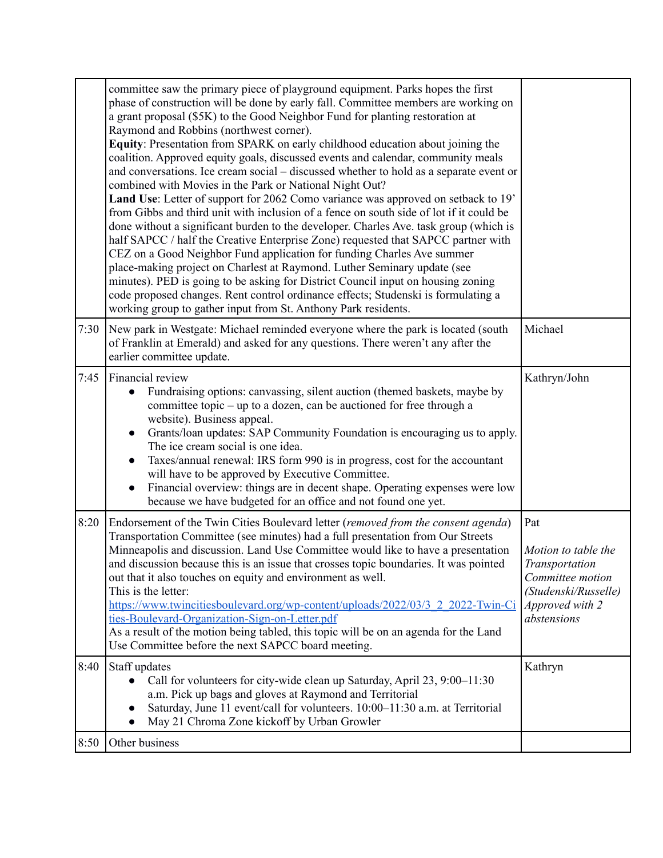|      | committee saw the primary piece of playground equipment. Parks hopes the first<br>phase of construction will be done by early fall. Committee members are working on<br>a grant proposal (\$5K) to the Good Neighbor Fund for planting restoration at<br>Raymond and Robbins (northwest corner).<br>Equity: Presentation from SPARK on early childhood education about joining the<br>coalition. Approved equity goals, discussed events and calendar, community meals<br>and conversations. Ice cream social – discussed whether to hold as a separate event or<br>combined with Movies in the Park or National Night Out?<br>Land Use: Letter of support for 2062 Como variance was approved on setback to 19'<br>from Gibbs and third unit with inclusion of a fence on south side of lot if it could be<br>done without a significant burden to the developer. Charles Ave. task group (which is<br>half SAPCC / half the Creative Enterprise Zone) requested that SAPCC partner with<br>CEZ on a Good Neighbor Fund application for funding Charles Ave summer<br>place-making project on Charlest at Raymond. Luther Seminary update (see<br>minutes). PED is going to be asking for District Council input on housing zoning<br>code proposed changes. Rent control ordinance effects; Studenski is formulating a<br>working group to gather input from St. Anthony Park residents. |                                                                                                                            |
|------|--------------------------------------------------------------------------------------------------------------------------------------------------------------------------------------------------------------------------------------------------------------------------------------------------------------------------------------------------------------------------------------------------------------------------------------------------------------------------------------------------------------------------------------------------------------------------------------------------------------------------------------------------------------------------------------------------------------------------------------------------------------------------------------------------------------------------------------------------------------------------------------------------------------------------------------------------------------------------------------------------------------------------------------------------------------------------------------------------------------------------------------------------------------------------------------------------------------------------------------------------------------------------------------------------------------------------------------------------------------------------------------------|----------------------------------------------------------------------------------------------------------------------------|
| 7:30 | New park in Westgate: Michael reminded everyone where the park is located (south<br>of Franklin at Emerald) and asked for any questions. There weren't any after the<br>earlier committee update.                                                                                                                                                                                                                                                                                                                                                                                                                                                                                                                                                                                                                                                                                                                                                                                                                                                                                                                                                                                                                                                                                                                                                                                          | Michael                                                                                                                    |
| 7:45 | Financial review<br>Fundraising options: canvassing, silent auction (themed baskets, maybe by<br>committee topic – up to a dozen, can be auctioned for free through a<br>website). Business appeal.<br>Grants/loan updates: SAP Community Foundation is encouraging us to apply.<br>$\bullet$<br>The ice cream social is one idea.<br>Taxes/annual renewal: IRS form 990 is in progress, cost for the accountant<br>will have to be approved by Executive Committee.<br>Financial overview: things are in decent shape. Operating expenses were low<br>$\bullet$<br>because we have budgeted for an office and not found one yet.                                                                                                                                                                                                                                                                                                                                                                                                                                                                                                                                                                                                                                                                                                                                                          | Kathryn/John                                                                                                               |
| 8:20 | Endorsement of the Twin Cities Boulevard letter (removed from the consent agenda)<br>Transportation Committee (see minutes) had a full presentation from Our Streets<br>Minneapolis and discussion. Land Use Committee would like to have a presentation<br>and discussion because this is an issue that crosses topic boundaries. It was pointed<br>out that it also touches on equity and environment as well.<br>This is the letter:<br>https://www.twincitiesboulevard.org/wp-content/uploads/2022/03/3 2 2022-Twin-Ci<br>ties-Boulevard-Organization-Sign-on-Letter.pdf<br>As a result of the motion being tabled, this topic will be on an agenda for the Land<br>Use Committee before the next SAPCC board meeting.                                                                                                                                                                                                                                                                                                                                                                                                                                                                                                                                                                                                                                                                 | Pat<br>Motion to table the<br>Transportation<br>Committee motion<br>(Studenski/Russelle)<br>Approved with 2<br>abstensions |
| 8:40 | Staff updates<br>Call for volunteers for city-wide clean up Saturday, April 23, 9:00-11:30<br>$\bullet$<br>a.m. Pick up bags and gloves at Raymond and Territorial<br>Saturday, June 11 event/call for volunteers. 10:00-11:30 a.m. at Territorial<br>May 21 Chroma Zone kickoff by Urban Growler                                                                                                                                                                                                                                                                                                                                                                                                                                                                                                                                                                                                                                                                                                                                                                                                                                                                                                                                                                                                                                                                                          | Kathryn                                                                                                                    |
| 8:50 | Other business                                                                                                                                                                                                                                                                                                                                                                                                                                                                                                                                                                                                                                                                                                                                                                                                                                                                                                                                                                                                                                                                                                                                                                                                                                                                                                                                                                             |                                                                                                                            |